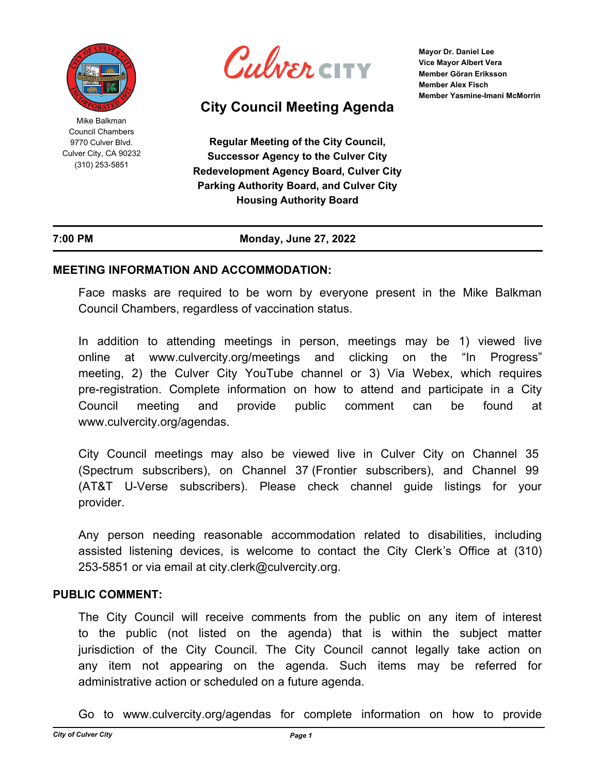

Mike Balkman Council Chambers 9770 Culver Blvd. Culver City, CA 90232 (310) 253-5851



# **City Council Meeting Agenda**

**Mayor Dr. Daniel Lee Vice Mayor Albert Vera Member Göran Eriksson Member Alex Fisch Member Yasmine-Imani McMorrin**

**Regular Meeting of the City Council, Successor Agency to the Culver City Redevelopment Agency Board, Culver City Parking Authority Board, and Culver City Housing Authority Board**

### **7:00 PM Monday, June 27, 2022**

### **MEETING INFORMATION AND ACCOMMODATION:**

Face masks are required to be worn by everyone present in the Mike Balkman Council Chambers, regardless of vaccination status.

In addition to attending meetings in person, meetings may be 1) viewed live online at www.culvercity.org/meetings and clicking on the "In Progress" meeting, 2) the Culver City YouTube channel or 3) Via Webex, which requires pre-registration. Complete information on how to attend and participate in a City Council meeting and provide public comment can be found at www.culvercity.org/agendas.

City Council meetings may also be viewed live in Culver City on Channel 35 (Spectrum subscribers), on Channel 37 (Frontier subscribers), and Channel 99 (AT&T U-Verse subscribers). Please check channel guide listings for your provider.

Any person needing reasonable accommodation related to disabilities, including assisted listening devices, is welcome to contact the City Clerk's Office at (310) 253-5851 or via email at city.clerk@culvercity.org.

### **PUBLIC COMMENT:**

The City Council will receive comments from the public on any item of interest to the public (not listed on the agenda) that is within the subject matter jurisdiction of the City Council. The City Council cannot legally take action on any item not appearing on the agenda. Such items may be referred for administrative action or scheduled on a future agenda.

Go to www.culvercity.org/agendas for complete information on how to provide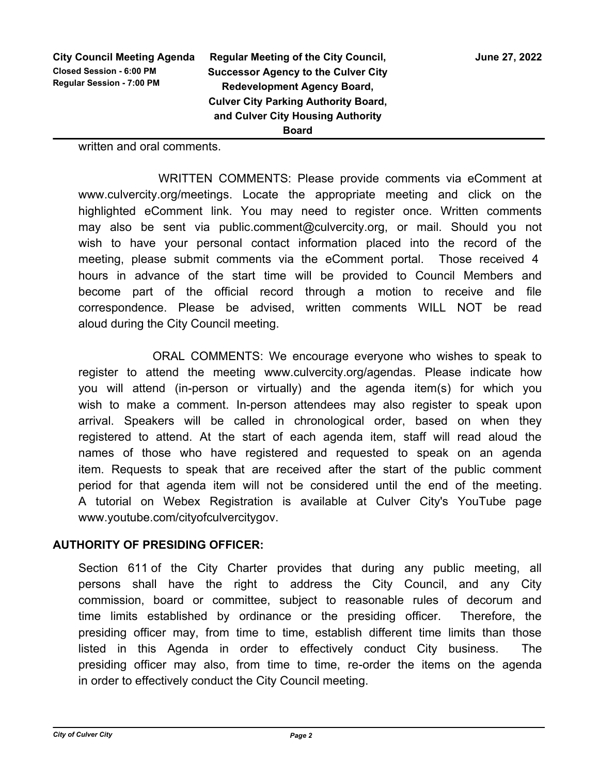written and oral comments.

 WRITTEN COMMENTS: Please provide comments via eComment at www.culvercity.org/meetings. Locate the appropriate meeting and click on the highlighted eComment link. You may need to register once. Written comments may also be sent via public.comment@culvercity.org, or mail. Should you not wish to have your personal contact information placed into the record of the meeting, please submit comments via the eComment portal. Those received 4 hours in advance of the start time will be provided to Council Members and become part of the official record through a motion to receive and file correspondence. Please be advised, written comments WILL NOT be read aloud during the City Council meeting.

 ORAL COMMENTS: We encourage everyone who wishes to speak to register to attend the meeting www.culvercity.org/agendas. Please indicate how you will attend (in-person or virtually) and the agenda item(s) for which you wish to make a comment. In-person attendees may also register to speak upon arrival. Speakers will be called in chronological order, based on when they registered to attend. At the start of each agenda item, staff will read aloud the names of those who have registered and requested to speak on an agenda item. Requests to speak that are received after the start of the public comment period for that agenda item will not be considered until the end of the meeting. A tutorial on Webex Registration is available at Culver City's YouTube page www.youtube.com/cityofculvercitygov.

# **AUTHORITY OF PRESIDING OFFICER:**

Section 611 of the City Charter provides that during any public meeting, all persons shall have the right to address the City Council, and any City commission, board or committee, subject to reasonable rules of decorum and time limits established by ordinance or the presiding officer. Therefore, the presiding officer may, from time to time, establish different time limits than those listed in this Agenda in order to effectively conduct City business. The presiding officer may also, from time to time, re-order the items on the agenda in order to effectively conduct the City Council meeting.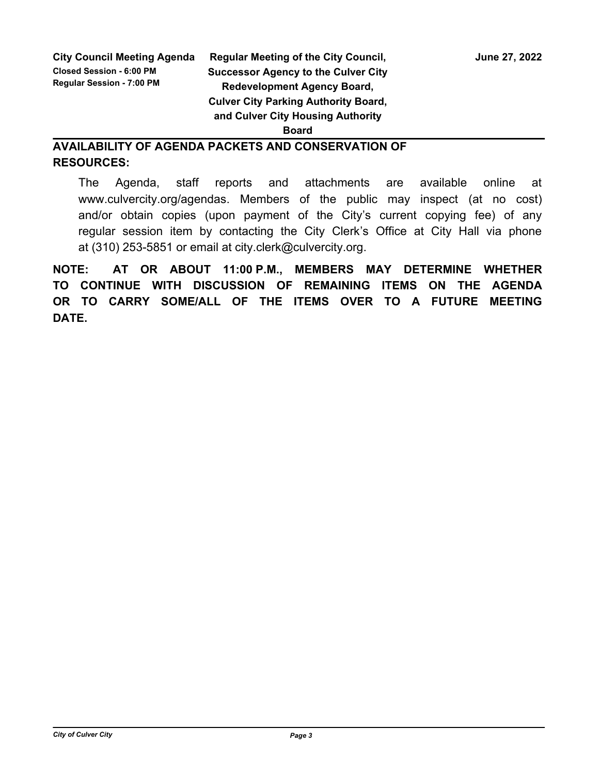# **Regular Meeting of the City Council, State 27, 2022 Successor Agency to the Culver City Redevelopment Agency Board, Culver City Parking Authority Board, and Culver City Housing Authority**

### **Board**

# **AVAILABILITY OF AGENDA PACKETS AND CONSERVATION OF RESOURCES:**

The Agenda, staff reports and attachments are available online at www.culvercity.org/agendas. Members of the public may inspect (at no cost) and/or obtain copies (upon payment of the City's current copying fee) of any regular session item by contacting the City Clerk's Office at City Hall via phone at (310) 253-5851 or email at city.clerk@culvercity.org.

**NOTE: AT OR ABOUT 11:00 P.M., MEMBERS MAY DETERMINE WHETHER TO CONTINUE WITH DISCUSSION OF REMAINING ITEMS ON THE AGENDA OR TO CARRY SOME/ALL OF THE ITEMS OVER TO A FUTURE MEETING DATE.**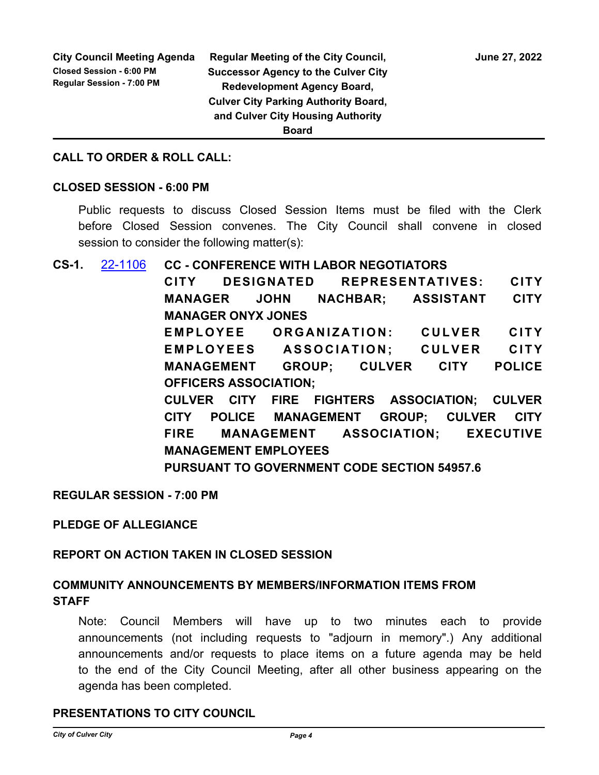### **CALL TO ORDER & ROLL CALL:**

### **CLOSED SESSION - 6:00 PM**

Public requests to discuss Closed Session Items must be filed with the Clerk before Closed Session convenes. The City Council shall convene in closed session to consider the following matter(s):

**CS-1.** [22-1106](http://culver-city.legistar.com/gateway.aspx?m=l&id=/matter.aspx?key=29945) **CC - CONFERENCE WITH LABOR NEGOTIATORS CITY DESIGNATED REPRESENTATIVES: CITY MANAGER JOHN NACHBAR; ASSISTANT CITY MANAGER ONYX JONES** EMPLOYEE ORGANIZATION: CULVER CITY **EMPLOYEES ASSOCIATION: CULVER CITY MANAGEMENT GROUP; CULVER CITY POLICE OFFICERS ASSOCIATION; CULVER CITY FIRE FIGHTERS ASSOCIATION; CULVER CITY POLICE MANAGEMENT GROUP; CULVER CITY FIRE MANAGEMENT ASSOCIATION; EXECUTIVE MANAGEMENT EMPLOYEES PURSUANT TO GOVERNMENT CODE SECTION 54957.6**

**REGULAR SESSION - 7:00 PM**

**PLEDGE OF ALLEGIANCE**

### **REPORT ON ACTION TAKEN IN CLOSED SESSION**

# **COMMUNITY ANNOUNCEMENTS BY MEMBERS/INFORMATION ITEMS FROM STAFF**

Note: Council Members will have up to two minutes each to provide announcements (not including requests to "adjourn in memory".) Any additional announcements and/or requests to place items on a future agenda may be held to the end of the City Council Meeting, after all other business appearing on the agenda has been completed.

# **PRESENTATIONS TO CITY COUNCIL**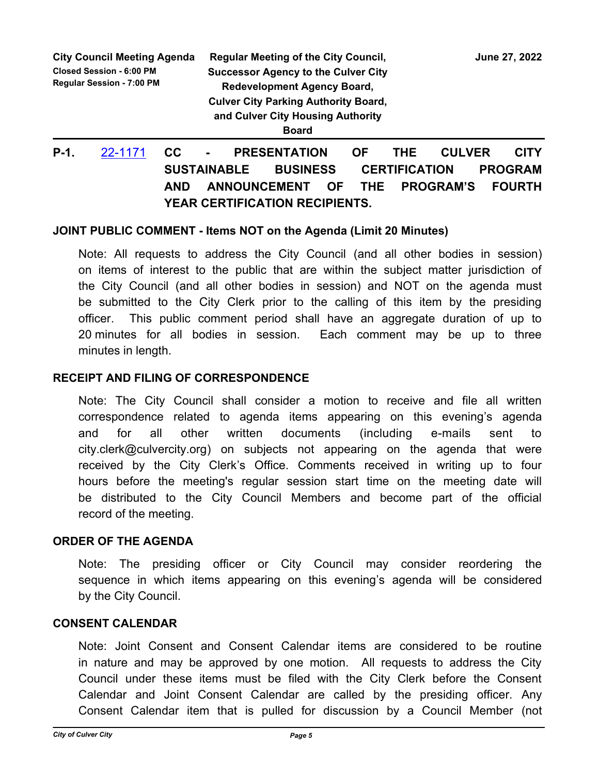|         | <b>City Council Meeting Agenda</b><br><b>Closed Session - 6:00 PM</b><br><b>Regular Session - 7:00 PM</b> |           |                | <b>Regular Meeting of the City Council,</b><br><b>Successor Agency to the Culver City</b><br><b>Redevelopment Agency Board,</b><br><b>Culver City Parking Authority Board,</b><br>and Culver City Housing Authority<br><b>Board</b> |    |     |               | June 27, 2022 |
|---------|-----------------------------------------------------------------------------------------------------------|-----------|----------------|-------------------------------------------------------------------------------------------------------------------------------------------------------------------------------------------------------------------------------------|----|-----|---------------|---------------|
| $P-1$ . | 22-1171                                                                                                   | <b>CC</b> | $\blacksquare$ | <b>PRESENTATION</b>                                                                                                                                                                                                                 | ΟF | THE | <b>CULVER</b> | CITY          |

# **SUSTAINABLE BUSINESS CERTIFICATION PROGRAM AND ANNOUNCEMENT OF THE PROGRAM'S FOURTH YEAR CERTIFICATION RECIPIENTS.**

### **JOINT PUBLIC COMMENT - Items NOT on the Agenda (Limit 20 Minutes)**

Note: All requests to address the City Council (and all other bodies in session) on items of interest to the public that are within the subject matter jurisdiction of the City Council (and all other bodies in session) and NOT on the agenda must be submitted to the City Clerk prior to the calling of this item by the presiding officer. This public comment period shall have an aggregate duration of up to 20 minutes for all bodies in session. Each comment may be up to three minutes in length.

### **RECEIPT AND FILING OF CORRESPONDENCE**

Note: The City Council shall consider a motion to receive and file all written correspondence related to agenda items appearing on this evening's agenda and for all other written documents (including e-mails sent to city.clerk@culvercity.org) on subjects not appearing on the agenda that were received by the City Clerk's Office. Comments received in writing up to four hours before the meeting's regular session start time on the meeting date will be distributed to the City Council Members and become part of the official record of the meeting.

### **ORDER OF THE AGENDA**

Note: The presiding officer or City Council may consider reordering the sequence in which items appearing on this evening's agenda will be considered by the City Council.

### **CONSENT CALENDAR**

Note: Joint Consent and Consent Calendar items are considered to be routine in nature and may be approved by one motion. All requests to address the City Council under these items must be filed with the City Clerk before the Consent Calendar and Joint Consent Calendar are called by the presiding officer. Any Consent Calendar item that is pulled for discussion by a Council Member (not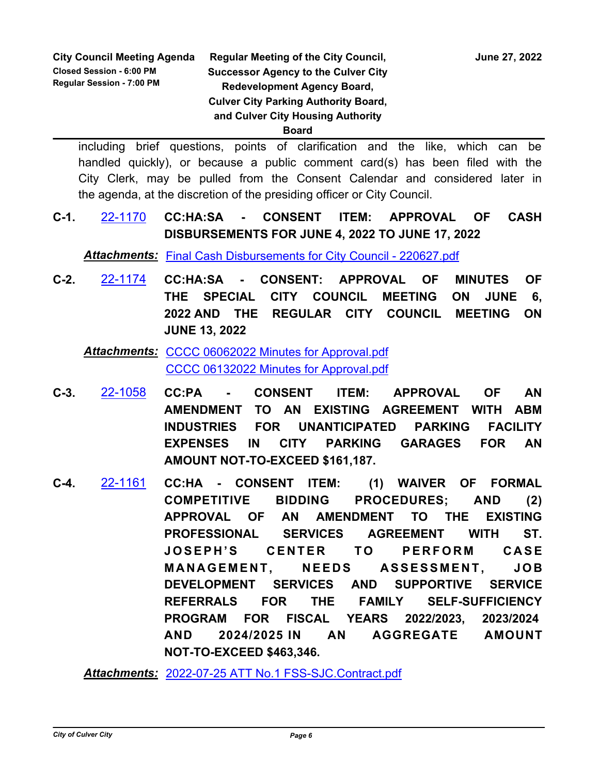**Board**

including brief questions, points of clarification and the like, which can be handled quickly), or because a public comment card(s) has been filed with the City Clerk, may be pulled from the Consent Calendar and considered later in the agenda, at the discretion of the presiding officer or City Council.

**C-1.** [22-1170](http://culver-city.legistar.com/gateway.aspx?m=l&id=/matter.aspx?key=30009) **CC:HA:SA - CONSENT ITEM: APPROVAL OF CASH DISBURSEMENTS FOR JUNE 4, 2022 TO JUNE 17, 2022**

*Attachments:* [Final Cash Disbursements for City Council - 220627.pdf](http://culver-city.legistar.com/gateway.aspx?M=F&ID=aaa99731-f798-45d9-8bcd-886dcbb3f26b.pdf)

**C-2.** [22-1174](http://culver-city.legistar.com/gateway.aspx?m=l&id=/matter.aspx?key=30013) **CC:HA:SA - CONSENT: APPROVAL OF MINUTES OF THE SPECIAL CITY COUNCIL MEETING ON JUNE 6, 2022 AND THE REGULAR CITY COUNCIL MEETING ON JUNE 13, 2022**

Attachments: [CCCC 06062022 Minutes for Approval.pdf](http://culver-city.legistar.com/gateway.aspx?M=F&ID=c21cf505-b132-45ca-9f52-c3ee50691ad1.pdf) [CCCC 06132022 Minutes for Approval.pdf](http://culver-city.legistar.com/gateway.aspx?M=F&ID=b397ed91-7a81-4a76-9531-1ab0ef37fab0.pdf)

- **C-3.** [22-1058](http://culver-city.legistar.com/gateway.aspx?m=l&id=/matter.aspx?key=29897) **CC:PA CONSENT ITEM: APPROVAL OF AN AMENDMENT TO AN EXISTING AGREEMENT WITH ABM INDUSTRIES FOR UNANTICIPATED PARKING FACILITY EXPENSES IN CITY PARKING GARAGES FOR AN AMOUNT NOT-TO-EXCEED \$161,187.**
- **C-4.** [22-1161](http://culver-city.legistar.com/gateway.aspx?m=l&id=/matter.aspx?key=30000) **CC:HA CONSENT ITEM: (1) WAIVER OF FORMAL COMPETITIVE BIDDING PROCEDURES; AND (2) APPROVAL OF AN AMENDMENT TO THE EXISTING PROFESSIONAL SERVICES AGREEMENT WITH ST. JOSEPH'S CENTER TO PERFORM CASE MANAGEMENT, NEEDS ASSESSMENT. JOB DEVELOPMENT SERVICES AND SUPPORTIVE SERVICE REFERRALS FOR THE FAMILY SELF-SUFFICIENCY PROGRAM FOR FISCAL YEARS 2022/2023, 2023/2024 AND 2024/2025 IN AN AGGREGATE AMOUNT NOT-TO-EXCEED \$463,346.**

*Attachments:* [2022-07-25 ATT No.1 FSS-SJC.Contract.pdf](http://culver-city.legistar.com/gateway.aspx?M=F&ID=90f2b9e3-464d-41b2-971f-339b87c08534.pdf)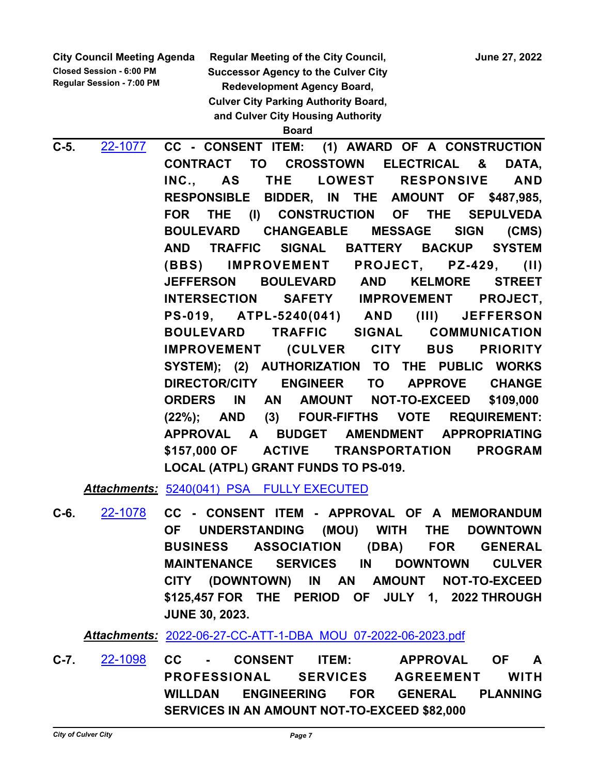**Closed Session - 6:00 PM Regular Session - 7:00 PM** **Regular Meeting of the City Council, State 27, 2022** 

**Successor Agency to the Culver City Redevelopment Agency Board, Culver City Parking Authority Board, and Culver City Housing Authority** 

**Board**

**C-5.** [22-1077](http://culver-city.legistar.com/gateway.aspx?m=l&id=/matter.aspx?key=29916) **CC - CONSENT ITEM: (1) AWARD OF A CONSTRUCTION CONTRACT TO CROSSTOWN ELECTRICAL & DATA, INC., AS THE LOWEST RESPONSIVE AND RESPONSIBLE BIDDER, IN THE AMOUNT OF \$487,985, FOR THE (I) CONSTRUCTION OF THE SEPULVEDA BOULEVARD CHANGEABLE MESSAGE SIGN (CMS) AND TRAFFIC SIGNAL BATTERY BACKUP SYSTEM (BBS) IMPROVEMENT PROJECT, PZ-429, (II) JEFFERSON BOULEVARD AND KELMORE STREET INTERSECTION SAFETY IMPROVEMENT PROJECT, PS-019, ATPL-5240(041) AND (III) JEFFERSON BOULEVARD TRAFFIC SIGNAL COMMUNICATION IMPROVEMENT (CULVER CITY BUS PRIORITY SYSTEM); (2) AUTHORIZATION TO THE PUBLIC WORKS DIRECTOR/CITY ENGINEER TO APPROVE CHANGE ORDERS IN AN AMOUNT NOT-TO-EXCEED \$109,000 (22%); AND (3) FOUR-FIFTHS VOTE REQUIREMENT: APPROVAL A BUDGET AMENDMENT APPROPRIATING \$157,000 OF ACTIVE TRANSPORTATION PROGRAM LOCAL (ATPL) GRANT FUNDS TO PS-019.**

Attachments: 5240(041) PSA FULLY EXECUTED

**C-6.** [22-1078](http://culver-city.legistar.com/gateway.aspx?m=l&id=/matter.aspx?key=29917) **CC - CONSENT ITEM - APPROVAL OF A MEMORANDUM OF UNDERSTANDING (MOU) WITH THE DOWNTOWN BUSINESS ASSOCIATION (DBA) FOR GENERAL MAINTENANCE SERVICES IN DOWNTOWN CULVER CITY (DOWNTOWN) IN AN AMOUNT NOT-TO-EXCEED \$125,457 FOR THE PERIOD OF JULY 1, 2022 THROUGH JUNE 30, 2023.**

*Attachments:* [2022-06-27-CC-ATT-1-DBA\\_MOU\\_07-2022-06-2023.pdf](http://culver-city.legistar.com/gateway.aspx?M=F&ID=91ab6ed4-906a-4d1e-a028-5cb17c9cd173.pdf)

**C-7.** [22-1098](http://culver-city.legistar.com/gateway.aspx?m=l&id=/matter.aspx?key=29937) **CC - CONSENT ITEM: APPROVAL OF A PROFESSIONAL SERVICES AGREEMENT WITH WILLDAN ENGINEERING FOR GENERAL PLANNING SERVICES IN AN AMOUNT NOT-TO-EXCEED \$82,000**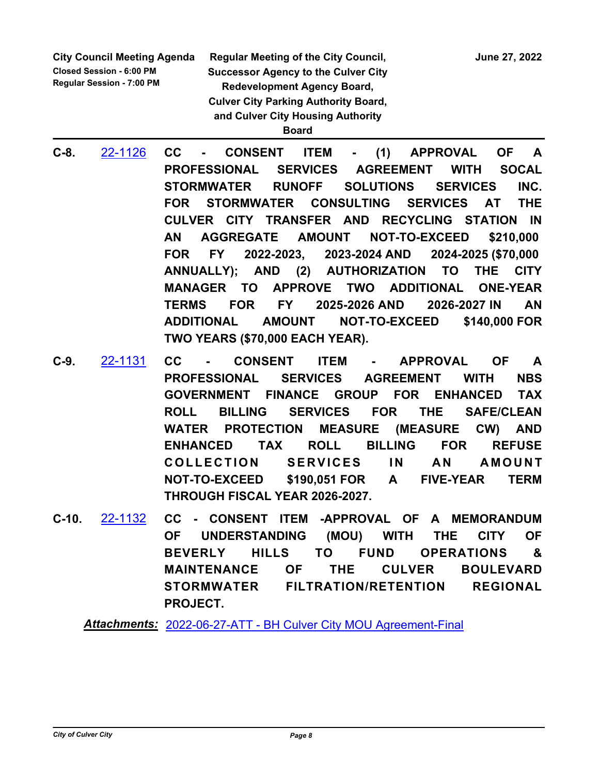**Closed Session - 6:00 PM Regular Session - 7:00 PM**

**Regular Meeting of the City Council, State State State State 37, 2022 Successor Agency to the Culver City Redevelopment Agency Board, Culver City Parking Authority Board, and Culver City Housing Authority Board**

- **C-8.** [22-1126](http://culver-city.legistar.com/gateway.aspx?m=l&id=/matter.aspx?key=29965) **CC CONSENT ITEM (1) APPROVAL OF A PROFESSIONAL SERVICES AGREEMENT WITH SOCAL STORMWATER RUNOFF SOLUTIONS SERVICES INC. FOR STORMWATER CONSULTING SERVICES AT THE CULVER CITY TRANSFER AND RECYCLING STATION IN AN AGGREGATE AMOUNT NOT-TO-EXCEED \$210,000 FOR FY 2022-2023, 2023-2024 AND 2024-2025 (\$70,000 ANNUALLY); AND (2) AUTHORIZATION TO THE CITY MANAGER TO APPROVE TWO ADDITIONAL ONE-YEAR TERMS FOR FY 2025-2026 AND 2026-2027 IN AN ADDITIONAL AMOUNT NOT-TO-EXCEED \$140,000 FOR TWO YEARS (\$70,000 EACH YEAR).**
- **C-9.** [22-1131](http://culver-city.legistar.com/gateway.aspx?m=l&id=/matter.aspx?key=29970) **CC CONSENT ITEM APPROVAL OF A PROFESSIONAL SERVICES AGREEMENT WITH NBS GOVERNMENT FINANCE GROUP FOR ENHANCED TAX ROLL BILLING SERVICES FOR THE SAFE/CLEAN WATER PROTECTION MEASURE (MEASURE CW) AND ENHANCED TAX ROLL BILLING FOR REFUSE COLLECTION SERVICES IN AN AMOUNT NOT-TO-EXCEED \$190,051 FOR A FIVE-YEAR TERM THROUGH FISCAL YEAR 2026-2027.**
- **C-10.** [22-1132](http://culver-city.legistar.com/gateway.aspx?m=l&id=/matter.aspx?key=29971) **CC CONSENT ITEM -APPROVAL OF A MEMORANDUM OF UNDERSTANDING (MOU) WITH THE CITY OF BEVERLY HILLS TO FUND OPERATIONS & MAINTENANCE OF THE CULVER BOULEVARD STORMWATER FILTRATION/RETENTION REGIONAL PROJECT.**

*Attachments:* [2022-06-27-ATT - BH Culver City MOU Agreement-Final](http://culver-city.legistar.com/gateway.aspx?M=F&ID=a8c357e8-2746-41a4-af8e-0b3555068484.pdf)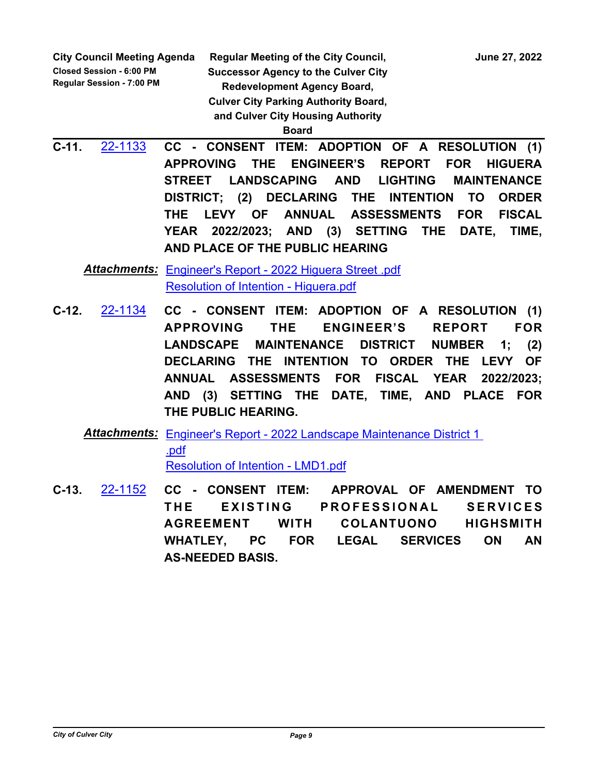**Closed Session - 6:00 PM Regular Session - 7:00 PM**

**Regular Meeting of the City Council, State State State State 37, 2022 Successor Agency to the Culver City Redevelopment Agency Board, Culver City Parking Authority Board, and Culver City Housing Authority** 

**Board**

**C-11.** [22-1133](http://culver-city.legistar.com/gateway.aspx?m=l&id=/matter.aspx?key=29972) **CC - CONSENT ITEM: ADOPTION OF A RESOLUTION (1) APPROVING THE ENGINEER'S REPORT FOR HIGUERA STREET LANDSCAPING AND LIGHTING MAINTENANCE DISTRICT; (2) DECLARING THE INTENTION TO ORDER THE LEVY OF ANNUAL ASSESSMENTS FOR FISCAL YEAR 2022/2023; AND (3) SETTING THE DATE, TIME, AND PLACE OF THE PUBLIC HEARING**

[Engineer's Report - 2022 Higuera Street .pdf](http://culver-city.legistar.com/gateway.aspx?M=F&ID=540f3e0e-4c82-4006-9239-b43410f5277d.pdf) *Attachments:* [Resolution of Intention - Higuera.pdf](http://culver-city.legistar.com/gateway.aspx?M=F&ID=633e1a3c-113a-4233-af5b-55e65e21ce55.pdf)

- **C-12.** [22-1134](http://culver-city.legistar.com/gateway.aspx?m=l&id=/matter.aspx?key=29973) **CC CONSENT ITEM: ADOPTION OF A RESOLUTION (1) APPROVING THE ENGINEER'S REPORT FOR LANDSCAPE MAINTENANCE DISTRICT NUMBER 1; (2) DECLARING THE INTENTION TO ORDER THE LEVY OF ANNUAL ASSESSMENTS FOR FISCAL YEAR 2022/2023; AND (3) SETTING THE DATE, TIME, AND PLACE FOR THE PUBLIC HEARING.**
	- Attachments: Engineer's Report 2022 Landscape Maintenance District 1 .pdf [Resolution of Intention - LMD1.pdf](http://culver-city.legistar.com/gateway.aspx?M=F&ID=46bf7168-9815-4178-9b41-a12e05104be6.pdf)
- **C-13.** [22-1152](http://culver-city.legistar.com/gateway.aspx?m=l&id=/matter.aspx?key=29991) **CC CONSENT ITEM: APPROVAL OF AMENDMENT TO**  THE EXISTING PROFESSIONAL SERVICES **AGREEMENT WITH COLANTUONO HIGHSMITH WHATLEY, PC FOR LEGAL SERVICES ON AN AS-NEEDED BASIS.**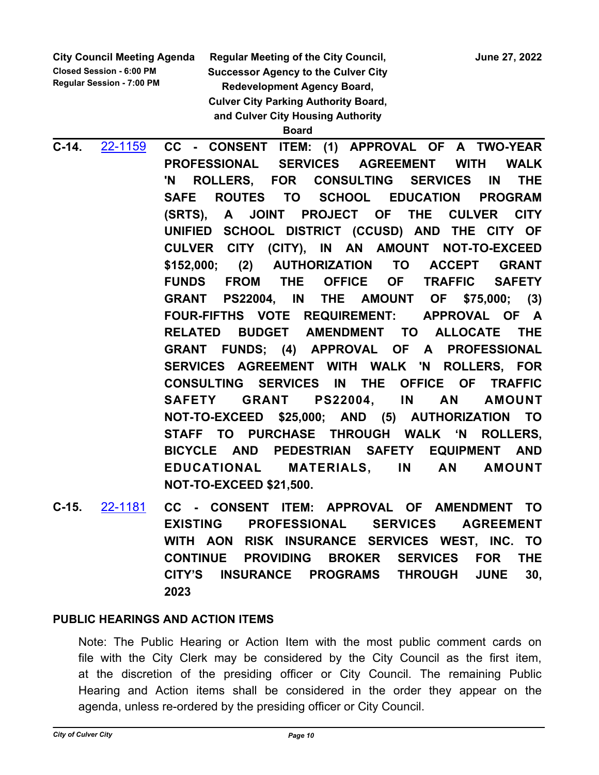**Closed Session - 6:00 PM Regular Session - 7:00 PM** **Regular Meeting of the City Council, State State State State 37, 2022** 

**Successor Agency to the Culver City Redevelopment Agency Board, Culver City Parking Authority Board, and Culver City Housing Authority Board**

**C-14.** [22-1159](http://culver-city.legistar.com/gateway.aspx?m=l&id=/matter.aspx?key=29998) **CC - CONSENT ITEM: (1) APPROVAL OF A TWO-YEAR PROFESSIONAL SERVICES AGREEMENT WITH WALK 'N ROLLERS, FOR CONSULTING SERVICES IN THE SAFE ROUTES TO SCHOOL EDUCATION PROGRAM (SRTS), A JOINT PROJECT OF THE CULVER CITY UNIFIED SCHOOL DISTRICT (CCUSD) AND THE CITY OF CULVER CITY (CITY), IN AN AMOUNT NOT-TO-EXCEED \$152,000; (2) AUTHORIZATION TO ACCEPT GRANT FUNDS FROM THE OFFICE OF TRAFFIC SAFETY GRANT PS22004, IN THE AMOUNT OF \$75,000; (3) FOUR-FIFTHS VOTE REQUIREMENT: APPROVAL OF A RELATED BUDGET AMENDMENT TO ALLOCATE THE GRANT FUNDS; (4) APPROVAL OF A PROFESSIONAL SERVICES AGREEMENT WITH WALK 'N ROLLERS, FOR CONSULTING SERVICES IN THE OFFICE OF TRAFFIC SAFETY GRANT PS22004, IN AN AMOUNT NOT-TO-EXCEED \$25,000; AND (5) AUTHORIZATION TO STAFF TO PURCHASE THROUGH WALK 'N ROLLERS, BICYCLE AND PEDESTRIAN SAFETY EQUIPMENT AND EDUCATIONAL MATERIALS, IN AN AMOUNT NOT-TO-EXCEED \$21,500.**

**C-15.** [22-1181](http://culver-city.legistar.com/gateway.aspx?m=l&id=/matter.aspx?key=30020) **CC - CONSENT ITEM: APPROVAL OF AMENDMENT TO EXISTING PROFESSIONAL SERVICES AGREEMENT WITH AON RISK INSURANCE SERVICES WEST, INC. TO CONTINUE PROVIDING BROKER SERVICES FOR THE CITY'S INSURANCE PROGRAMS THROUGH JUNE 30, 2023**

# **PUBLIC HEARINGS AND ACTION ITEMS**

Note: The Public Hearing or Action Item with the most public comment cards on file with the City Clerk may be considered by the City Council as the first item, at the discretion of the presiding officer or City Council. The remaining Public Hearing and Action items shall be considered in the order they appear on the agenda, unless re-ordered by the presiding officer or City Council.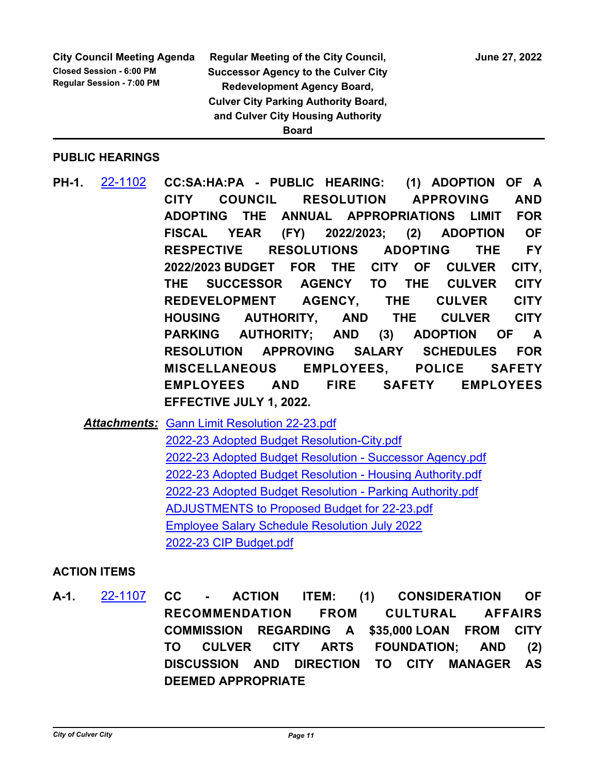### **City Council Meeting Agenda Closed Session - 6:00 PM Regular Session - 7:00 PM**

**Regular Meeting of the City Council, State 27, 2022 Successor Agency to the Culver City Redevelopment Agency Board, Culver City Parking Authority Board, and Culver City Housing Authority Board**

### **PUBLIC HEARINGS**

**PH-1.** [22-1102](http://culver-city.legistar.com/gateway.aspx?m=l&id=/matter.aspx?key=29941) **CC:SA:HA:PA - PUBLIC HEARING: (1) ADOPTION OF A CITY COUNCIL RESOLUTION APPROVING AND ADOPTING THE ANNUAL APPROPRIATIONS LIMIT FOR FISCAL YEAR (FY) 2022/2023; (2) ADOPTION OF RESPECTIVE RESOLUTIONS ADOPTING THE FY 2022/2023 BUDGET FOR THE CITY OF CULVER CITY, THE SUCCESSOR AGENCY TO THE CULVER CITY REDEVELOPMENT AGENCY, THE CULVER CITY HOUSING AUTHORITY, AND THE CULVER CITY PARKING AUTHORITY; AND (3) ADOPTION OF A RESOLUTION APPROVING SALARY SCHEDULES FOR MISCELLANEOUS EMPLOYEES, POLICE SAFETY EMPLOYEES AND FIRE SAFETY EMPLOYEES EFFECTIVE JULY 1, 2022.**

**Attachments: [Gann Limit Resolution 22-23.pdf](http://culver-city.legistar.com/gateway.aspx?M=F&ID=79846c68-d351-4919-b49b-05582bc1c621.pdf)** [2022-23 Adopted Budget Resolution-City.pdf](http://culver-city.legistar.com/gateway.aspx?M=F&ID=e535b354-2fa4-4d1b-91be-acabf2222f8c.pdf) [2022-23 Adopted Budget Resolution - Successor Agency.pdf](http://culver-city.legistar.com/gateway.aspx?M=F&ID=e9241f40-62cd-4aca-a774-76b922e10dfb.pdf) [2022-23 Adopted Budget Resolution - Housing Authority.pdf](http://culver-city.legistar.com/gateway.aspx?M=F&ID=935335f7-c3c7-4839-a2ec-b3ba548824b6.pdf) [2022-23 Adopted Budget Resolution - Parking Authority.pdf](http://culver-city.legistar.com/gateway.aspx?M=F&ID=fb22f80c-a353-474f-88ad-555b2da27e57.pdf) [ADJUSTMENTS to Proposed Budget for 22-23.pdf](http://culver-city.legistar.com/gateway.aspx?M=F&ID=83b09fde-a0b5-4c51-b696-455e319443b5.pdf) [Employee Salary Schedule Resolution July 2022](http://culver-city.legistar.com/gateway.aspx?M=F&ID=af92cebc-f4d5-4543-b70f-d63b5e3e4be7.pdf) [2022-23 CIP Budget.pdf](http://culver-city.legistar.com/gateway.aspx?M=F&ID=6a1d3b50-96cb-4d93-b2e2-8bd58d9f5bc3.pdf)

### **ACTION ITEMS**

**A-1.** [22-1107](http://culver-city.legistar.com/gateway.aspx?m=l&id=/matter.aspx?key=29946) **CC - ACTION ITEM: (1) CONSIDERATION OF RECOMMENDATION FROM CULTURAL AFFAIRS COMMISSION REGARDING A \$35,000 LOAN FROM CITY TO CULVER CITY ARTS FOUNDATION; AND (2) DISCUSSION AND DIRECTION TO CITY MANAGER AS DEEMED APPROPRIATE**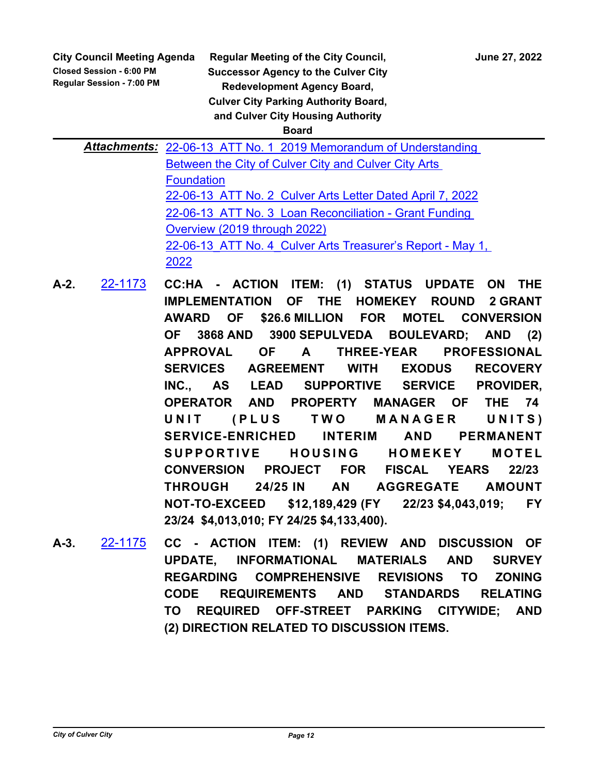**Closed Session - 6:00 PM Regular Session - 7:00 PM**

**Regular Meeting of the City Council, State State State State 37, 2022 Successor Agency to the Culver City Redevelopment Agency Board, Culver City Parking Authority Board, and Culver City Housing Authority Board**

Attachments: 22-06-13 ATT No. 1 2019 Memorandum of Understanding Between the City of Culver City and Culver City Arts Foundation [22-06-13\\_ATT No. 2\\_Culver Arts Letter Dated April 7, 2022](http://culver-city.legistar.com/gateway.aspx?M=F&ID=e1663ed6-26c3-4035-8de1-57c1d4cee3b4.pdf) 22-06-13 ATT No. 3 Loan Reconciliation - Grant Funding Overview (2019 through 2022) 22-06-13 ATT No. 4 Culver Arts Treasurer's Report - May 1, 2022

- **A-2.** [22-1173](http://culver-city.legistar.com/gateway.aspx?m=l&id=/matter.aspx?key=30012) **CC:HA ACTION ITEM: (1) STATUS UPDATE ON THE IMPLEMENTATION OF THE HOMEKEY ROUND 2 GRANT AWARD OF \$26.6 MILLION FOR MOTEL CONVERSION OF 3868 AND 3900 SEPULVEDA BOULEVARD; AND (2) APPROVAL OF A THREE-YEAR PROFESSIONAL SERVICES AGREEMENT WITH EXODUS RECOVERY INC., AS LEAD SUPPORTIVE SERVICE PROVIDER, OPERATOR AND PROPERTY MANAGER OF THE 74**  UNIT (PLUS TWO MANAGER UNITS) **SERVICE-ENRICHED INTERIM AND PERMANENT**  SUPPORTIVE HOUSING HOMEKEY MOTEL **CONVERSION PROJECT FOR FISCAL YEARS 22/23 THROUGH 24/25 IN AN AGGREGATE AMOUNT NOT-TO-EXCEED \$12,189,429 (FY 22/23 \$4,043,019; FY 23/24 \$4,013,010; FY 24/25 \$4,133,400).**
- **A-3.** [22-1175](http://culver-city.legistar.com/gateway.aspx?m=l&id=/matter.aspx?key=30014) **CC ACTION ITEM: (1) REVIEW AND DISCUSSION OF UPDATE, INFORMATIONAL MATERIALS AND SURVEY REGARDING COMPREHENSIVE REVISIONS TO ZONING CODE REQUIREMENTS AND STANDARDS RELATING TO REQUIRED OFF-STREET PARKING CITYWIDE; AND (2) DIRECTION RELATED TO DISCUSSION ITEMS.**